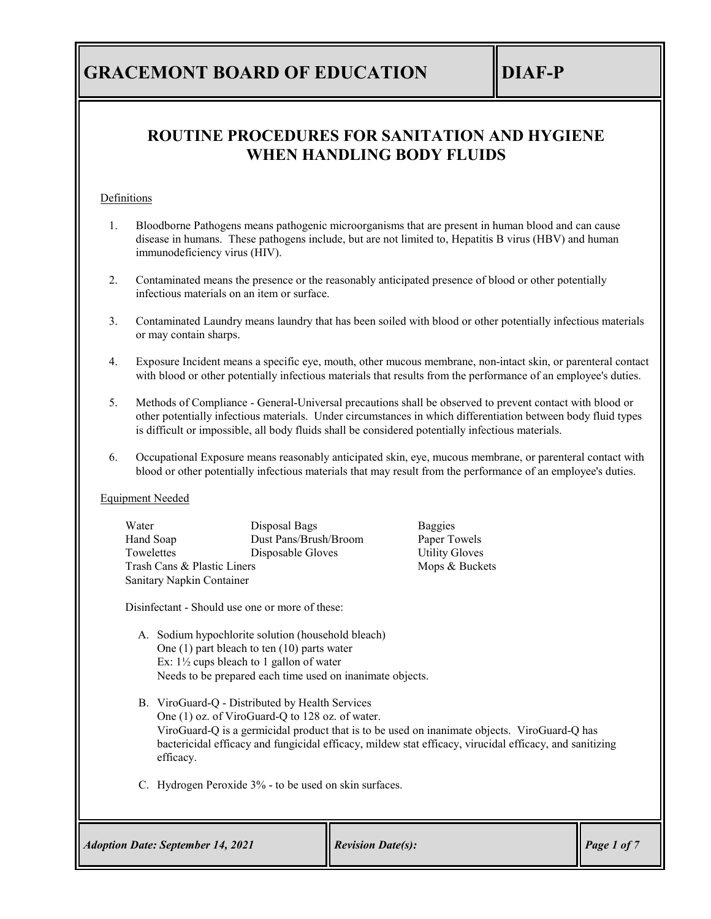## **ROUTINE PROCEDURES FOR SANITATION AND HYGIENE WHEN HANDLING BODY FLUIDS**

## **Definitions**

- 1. Bloodborne Pathogens means pathogenic microorganisms that are present in human blood and can cause disease in humans. These pathogens include, but are not limited to, Hepatitis B virus (HBV) and human immunodeficiency virus (HIV).
- 2. Contaminated means the presence or the reasonably anticipated presence of blood or other potentially infectious materials on an item or surface.
- 3. Contaminated Laundry means laundry that has been soiled with blood or other potentially infectious materials or may contain sharps.
- 4. Exposure Incident means a specific eye, mouth, other mucous membrane, non-intact skin, or parenteral contact with blood or other potentially infectious materials that results from the performance of an employee's duties.
- 5. Methods of Compliance General-Universal precautions shall be observed to prevent contact with blood or other potentially infectious materials. Under circumstances in which differentiation between body fluid types is difficult or impossible, all body fluids shall be considered potentially infectious materials.
- 6. Occupational Exposure means reasonably anticipated skin, eye, mucous membrane, or parenteral contact with blood or other potentially infectious materials that may result from the performance of an employee's duties.

### Equipment Needed

| Water                       | Disposal Bags         | <b>Baggies</b>        |
|-----------------------------|-----------------------|-----------------------|
| Hand Soap                   | Dust Pans/Brush/Broom | Paper Towels          |
| Towelettes                  | Disposable Gloves     | <b>Utility Gloves</b> |
| Trash Cans & Plastic Liners |                       | Mops & Buckets        |
| Sanitary Napkin Container   |                       |                       |

Disinfectant - Should use one or more of these:

- A. Sodium hypochlorite solution (household bleach) One (1) part bleach to ten (10) parts water Ex: 1½ cups bleach to 1 gallon of water Needs to be prepared each time used on inanimate objects.
- B. ViroGuard-Q Distributed by Health Services One (1) oz. of ViroGuard-Q to 128 oz. of water. ViroGuard-Q is a germicidal product that is to be used on inanimate objects. ViroGuard-Q has bactericidal efficacy and fungicidal efficacy, mildew stat efficacy, virucidal efficacy, and sanitizing efficacy.
	- C. Hydrogen Peroxide 3% to be used on skin surfaces.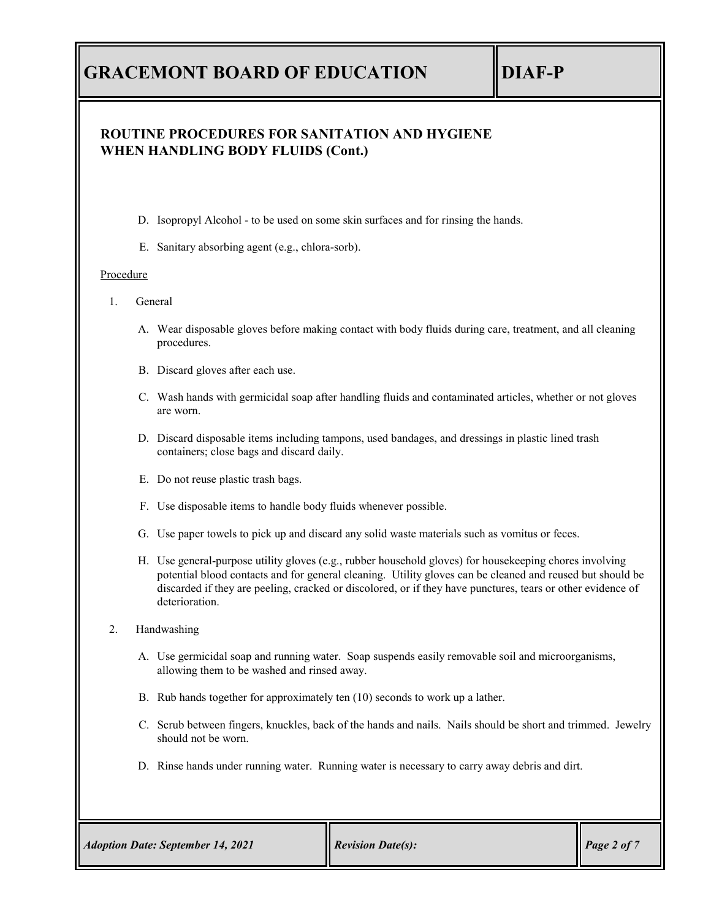## **ROUTINE PROCEDURES FOR SANITATION AND HYGIENE WHEN HANDLING BODY FLUIDS (Cont.)**

- D. Isopropyl Alcohol to be used on some skin surfaces and for rinsing the hands.
- E. Sanitary absorbing agent (e.g., chlora-sorb).

#### **Procedure**

- 1. General
	- A. Wear disposable gloves before making contact with body fluids during care, treatment, and all cleaning procedures.
	- B. Discard gloves after each use.
	- C. Wash hands with germicidal soap after handling fluids and contaminated articles, whether or not gloves are worn.
	- D. Discard disposable items including tampons, used bandages, and dressings in plastic lined trash containers; close bags and discard daily.
	- E. Do not reuse plastic trash bags.
	- F. Use disposable items to handle body fluids whenever possible.
	- G. Use paper towels to pick up and discard any solid waste materials such as vomitus or feces.
	- H. Use general-purpose utility gloves (e.g., rubber household gloves) for housekeeping chores involving potential blood contacts and for general cleaning. Utility gloves can be cleaned and reused but should be discarded if they are peeling, cracked or discolored, or if they have punctures, tears or other evidence of deterioration.
- 2. Handwashing
	- A. Use germicidal soap and running water. Soap suspends easily removable soil and microorganisms, allowing them to be washed and rinsed away.
	- B. Rub hands together for approximately ten (10) seconds to work up a lather.
	- C. Scrub between fingers, knuckles, back of the hands and nails. Nails should be short and trimmed. Jewelry should not be worn.
	- D. Rinse hands under running water. Running water is necessary to carry away debris and dirt.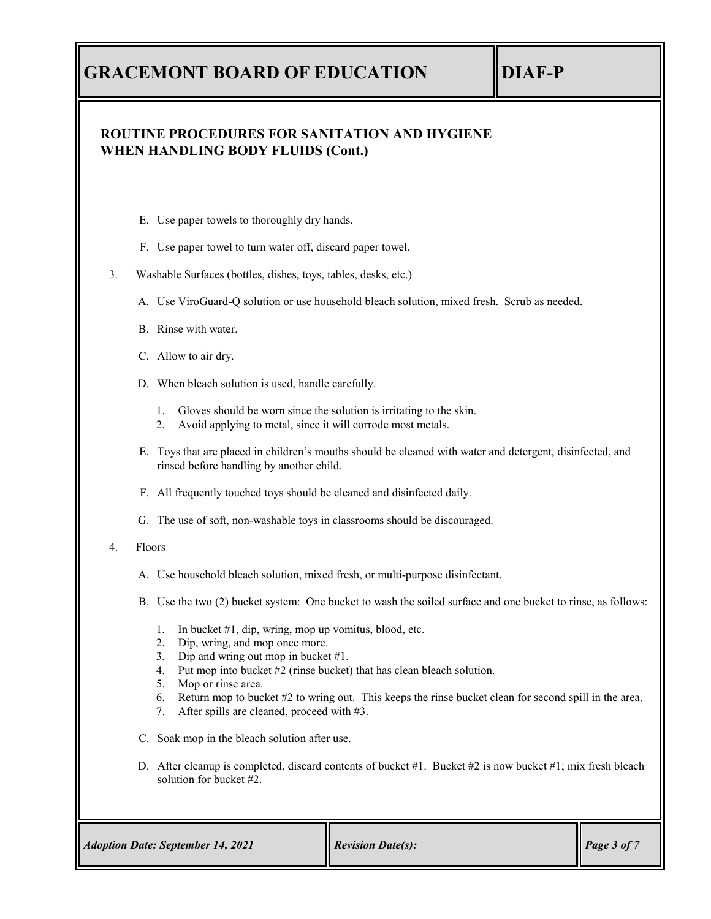## **ROUTINE PROCEDURES FOR SANITATION AND HYGIENE WHEN HANDLING BODY FLUIDS (Cont.)**

- E. Use paper towels to thoroughly dry hands.
- F. Use paper towel to turn water off, discard paper towel.

#### 3. Washable Surfaces (bottles, dishes, toys, tables, desks, etc.)

- A. Use ViroGuard-Q solution or use household bleach solution, mixed fresh. Scrub as needed.
- B. Rinse with water.
- C. Allow to air dry.
- D. When bleach solution is used, handle carefully.
	- 1. Gloves should be worn since the solution is irritating to the skin.
	- 2. Avoid applying to metal, since it will corrode most metals.
- E. Toys that are placed in children's mouths should be cleaned with water and detergent, disinfected, and rinsed before handling by another child.
- F. All frequently touched toys should be cleaned and disinfected daily.
- G. The use of soft, non-washable toys in classrooms should be discouraged.
- 4. Floors
	- A. Use household bleach solution, mixed fresh, or multi-purpose disinfectant.
	- B. Use the two (2) bucket system: One bucket to wash the soiled surface and one bucket to rinse, as follows:
		- 1. In bucket #1, dip, wring, mop up vomitus, blood, etc.
		- 2. Dip, wring, and mop once more.
		- 3. Dip and wring out mop in bucket #1.
		- 4. Put mop into bucket #2 (rinse bucket) that has clean bleach solution.
		- 5. Mop or rinse area.
		- 6. Return mop to bucket #2 to wring out. This keeps the rinse bucket clean for second spill in the area.
		- 7. After spills are cleaned, proceed with #3.
	- C. Soak mop in the bleach solution after use.
	- D. After cleanup is completed, discard contents of bucket #1. Bucket #2 is now bucket #1; mix fresh bleach solution for bucket #2.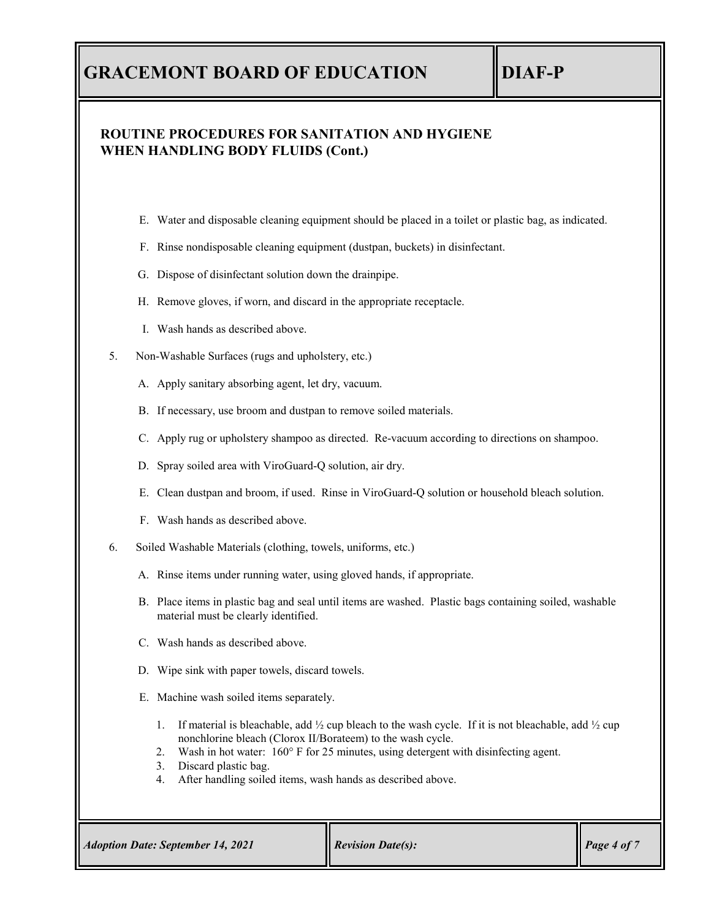## **ROUTINE PROCEDURES FOR SANITATION AND HYGIENE WHEN HANDLING BODY FLUIDS (Cont.)**

- E. Water and disposable cleaning equipment should be placed in a toilet or plastic bag, as indicated.
- F. Rinse nondisposable cleaning equipment (dustpan, buckets) in disinfectant.
- G. Dispose of disinfectant solution down the drainpipe.
- H. Remove gloves, if worn, and discard in the appropriate receptacle.
- I. Wash hands as described above.
- 5. Non-Washable Surfaces (rugs and upholstery, etc.)
	- A. Apply sanitary absorbing agent, let dry, vacuum.
	- B. If necessary, use broom and dustpan to remove soiled materials.
	- C. Apply rug or upholstery shampoo as directed. Re-vacuum according to directions on shampoo.
	- D. Spray soiled area with ViroGuard-Q solution, air dry.
	- E. Clean dustpan and broom, if used. Rinse in ViroGuard-Q solution or household bleach solution.
	- F. Wash hands as described above.
- 6. Soiled Washable Materials (clothing, towels, uniforms, etc.)
	- A. Rinse items under running water, using gloved hands, if appropriate.
	- B. Place items in plastic bag and seal until items are washed. Plastic bags containing soiled, washable material must be clearly identified.
	- C. Wash hands as described above.
	- D. Wipe sink with paper towels, discard towels.
	- E. Machine wash soiled items separately.
		- 1. If material is bleachable, add  $\frac{1}{2}$  cup bleach to the wash cycle. If it is not bleachable, add  $\frac{1}{2}$  cup nonchlorine bleach (Clorox II/Borateem) to the wash cycle.
		- 2. Wash in hot water: 160° F for 25 minutes, using detergent with disinfecting agent.
		- 3. Discard plastic bag.
		- 4. After handling soiled items, wash hands as described above.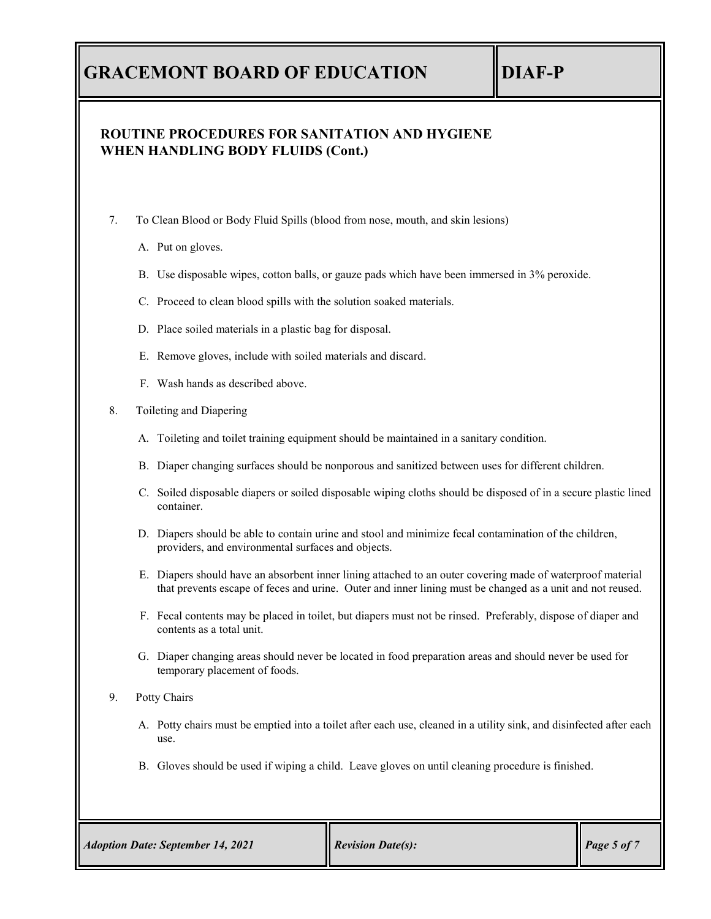## **ROUTINE PROCEDURES FOR SANITATION AND HYGIENE WHEN HANDLING BODY FLUIDS (Cont.)**

- 7. To Clean Blood or Body Fluid Spills (blood from nose, mouth, and skin lesions)
	- A. Put on gloves.
	- B. Use disposable wipes, cotton balls, or gauze pads which have been immersed in 3% peroxide.
	- C. Proceed to clean blood spills with the solution soaked materials.
	- D. Place soiled materials in a plastic bag for disposal.
	- E. Remove gloves, include with soiled materials and discard.
	- F. Wash hands as described above.
- 8. Toileting and Diapering
	- A. Toileting and toilet training equipment should be maintained in a sanitary condition.
	- B. Diaper changing surfaces should be nonporous and sanitized between uses for different children.
	- C. Soiled disposable diapers or soiled disposable wiping cloths should be disposed of in a secure plastic lined container.
	- D. Diapers should be able to contain urine and stool and minimize fecal contamination of the children, providers, and environmental surfaces and objects.
	- E. Diapers should have an absorbent inner lining attached to an outer covering made of waterproof material that prevents escape of feces and urine. Outer and inner lining must be changed as a unit and not reused.
	- F. Fecal contents may be placed in toilet, but diapers must not be rinsed. Preferably, dispose of diaper and contents as a total unit.
	- G. Diaper changing areas should never be located in food preparation areas and should never be used for temporary placement of foods.
- 9. Potty Chairs
	- A. Potty chairs must be emptied into a toilet after each use, cleaned in a utility sink, and disinfected after each use.
	- B. Gloves should be used if wiping a child. Leave gloves on until cleaning procedure is finished.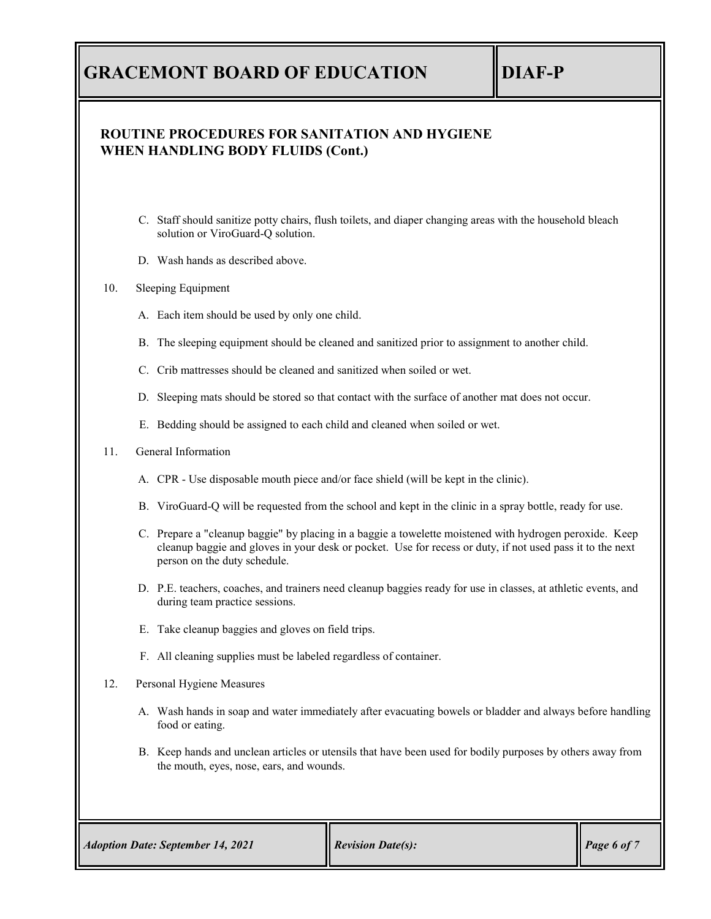## **ROUTINE PROCEDURES FOR SANITATION AND HYGIENE WHEN HANDLING BODY FLUIDS (Cont.)**

- C. Staff should sanitize potty chairs, flush toilets, and diaper changing areas with the household bleach solution or ViroGuard-Q solution.
- D. Wash hands as described above.

### 10. Sleeping Equipment

- A. Each item should be used by only one child.
- B. The sleeping equipment should be cleaned and sanitized prior to assignment to another child.
- C. Crib mattresses should be cleaned and sanitized when soiled or wet.
- D. Sleeping mats should be stored so that contact with the surface of another mat does not occur.
- E. Bedding should be assigned to each child and cleaned when soiled or wet.

### 11. General Information

- A. CPR Use disposable mouth piece and/or face shield (will be kept in the clinic).
- B. ViroGuard-Q will be requested from the school and kept in the clinic in a spray bottle, ready for use.
- C. Prepare a "cleanup baggie" by placing in a baggie a towelette moistened with hydrogen peroxide. Keep cleanup baggie and gloves in your desk or pocket. Use for recess or duty, if not used pass it to the next person on the duty schedule.
- D. P.E. teachers, coaches, and trainers need cleanup baggies ready for use in classes, at athletic events, and during team practice sessions.
- E. Take cleanup baggies and gloves on field trips.
- F. All cleaning supplies must be labeled regardless of container.

#### 12. Personal Hygiene Measures

- A. Wash hands in soap and water immediately after evacuating bowels or bladder and always before handling food or eating.
- B. Keep hands and unclean articles or utensils that have been used for bodily purposes by others away from the mouth, eyes, nose, ears, and wounds.